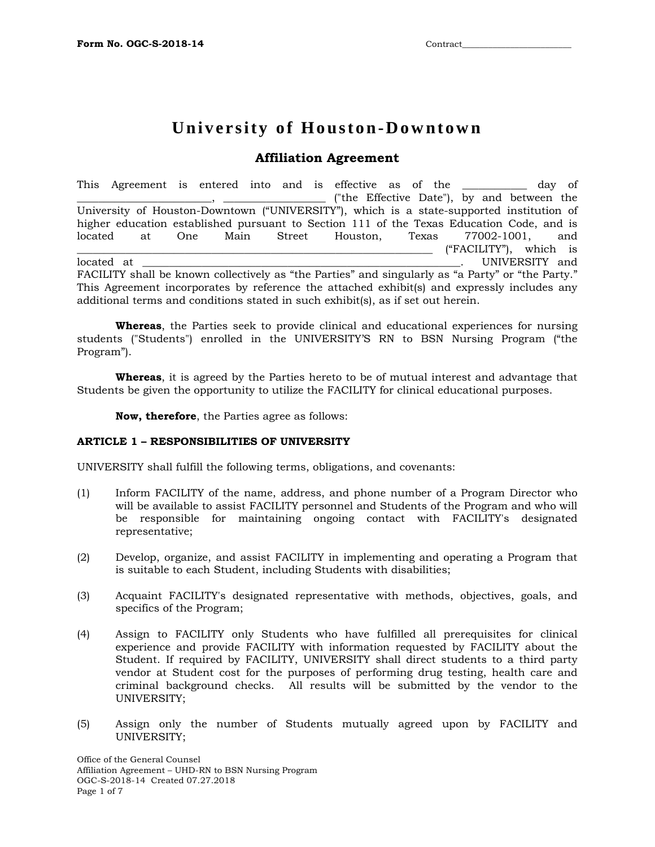# **University of Houston-Downtown**

# **Affiliation Agreement**

This Agreement is entered into and is effective as of the \_\_\_\_\_\_\_\_\_\_\_\_ day of \_\_\_\_\_\_\_\_\_\_\_\_\_\_\_\_\_\_\_\_\_\_\_\_\_, \_\_\_\_\_\_\_\_\_\_\_\_\_\_\_\_\_\_\_ ("the Effective Date"), by and between the University of Houston-Downtown ("UNIVERSITY"), which is a state-supported institution of higher education established pursuant to Section 111 of the Texas Education Code, and is<br>located at One Main Street Houston. Texas 77002-1001. and at One Main Street Houston, Texas 77002-1001, and \_\_\_\_\_\_\_\_\_\_\_\_\_\_\_\_\_\_\_\_\_\_\_\_\_\_\_\_\_\_\_\_\_\_\_\_\_\_\_\_\_\_\_\_\_\_\_\_\_\_\_\_\_\_\_\_\_\_\_\_\_\_\_\_\_\_ ("FACILITY"), which is located at \_\_\_\_\_\_\_\_\_\_\_\_\_\_\_\_\_\_\_\_\_\_\_\_\_\_\_\_\_\_\_\_\_\_\_\_\_\_\_\_\_\_\_\_\_\_\_\_\_\_\_\_\_\_\_\_\_\_\_. UNIVERSITY and FACILITY shall be known collectively as "the Parties" and singularly as "a Party" or "the Party." This Agreement incorporates by reference the attached exhibit(s) and expressly includes any additional terms and conditions stated in such exhibit(s), as if set out herein.

**Whereas**, the Parties seek to provide clinical and educational experiences for nursing students ("Students") enrolled in the UNIVERSITY'S RN to BSN Nursing Program ("the Program").

**Whereas**, it is agreed by the Parties hereto to be of mutual interest and advantage that Students be given the opportunity to utilize the FACILITY for clinical educational purposes.

**Now, therefore**, the Parties agree as follows:

# **ARTICLE 1 – RESPONSIBILITIES OF UNIVERSITY**

UNIVERSITY shall fulfill the following terms, obligations, and covenants:

- (1) Inform FACILITY of the name, address, and phone number of a Program Director who will be available to assist FACILITY personnel and Students of the Program and who will be responsible for maintaining ongoing contact with FACILITY's designated representative;
- (2) Develop, organize, and assist FACILITY in implementing and operating a Program that is suitable to each Student, including Students with disabilities;
- (3) Acquaint FACILITY's designated representative with methods, objectives, goals, and specifics of the Program;
- (4) Assign to FACILITY only Students who have fulfilled all prerequisites for clinical experience and provide FACILITY with information requested by FACILITY about the Student. If required by FACILITY, UNIVERSITY shall direct students to a third party vendor at Student cost for the purposes of performing drug testing, health care and criminal background checks. All results will be submitted by the vendor to the UNIVERSITY;
- (5) Assign only the number of Students mutually agreed upon by FACILITY and UNIVERSITY;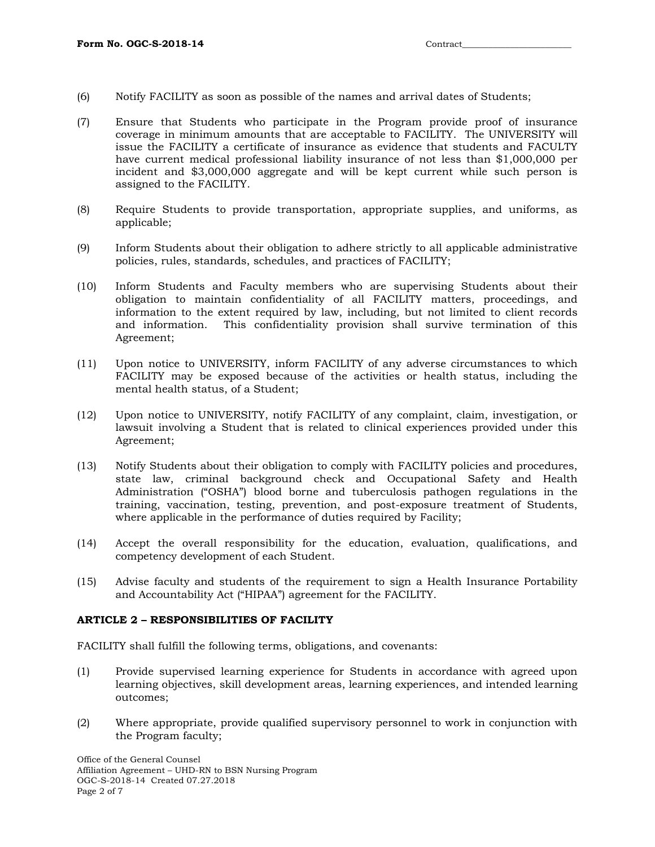- (6) Notify FACILITY as soon as possible of the names and arrival dates of Students;
- (7) Ensure that Students who participate in the Program provide proof of insurance coverage in minimum amounts that are acceptable to FACILITY. The UNIVERSITY will issue the FACILITY a certificate of insurance as evidence that students and FACULTY have current medical professional liability insurance of not less than \$1,000,000 per incident and \$3,000,000 aggregate and will be kept current while such person is assigned to the FACILITY.
- (8) Require Students to provide transportation, appropriate supplies, and uniforms, as applicable;
- (9) Inform Students about their obligation to adhere strictly to all applicable administrative policies, rules, standards, schedules, and practices of FACILITY;
- (10) Inform Students and Faculty members who are supervising Students about their obligation to maintain confidentiality of all FACILITY matters, proceedings, and information to the extent required by law, including, but not limited to client records and information. This confidentiality provision shall survive termination of this Agreement;
- (11) Upon notice to UNIVERSITY, inform FACILITY of any adverse circumstances to which FACILITY may be exposed because of the activities or health status, including the mental health status, of a Student;
- (12) Upon notice to UNIVERSITY, notify FACILITY of any complaint, claim, investigation, or lawsuit involving a Student that is related to clinical experiences provided under this Agreement;
- (13) Notify Students about their obligation to comply with FACILITY policies and procedures, state law, criminal background check and Occupational Safety and Health Administration ("OSHA") blood borne and tuberculosis pathogen regulations in the training, vaccination, testing, prevention, and post-exposure treatment of Students, where applicable in the performance of duties required by Facility;
- (14) Accept the overall responsibility for the education, evaluation, qualifications, and competency development of each Student.
- (15) Advise faculty and students of the requirement to sign a Health Insurance Portability and Accountability Act ("HIPAA") agreement for the FACILITY.

# **ARTICLE 2 – RESPONSIBILITIES OF FACILITY**

FACILITY shall fulfill the following terms, obligations, and covenants:

- (1) Provide supervised learning experience for Students in accordance with agreed upon learning objectives, skill development areas, learning experiences, and intended learning outcomes;
- (2) Where appropriate, provide qualified supervisory personnel to work in conjunction with the Program faculty;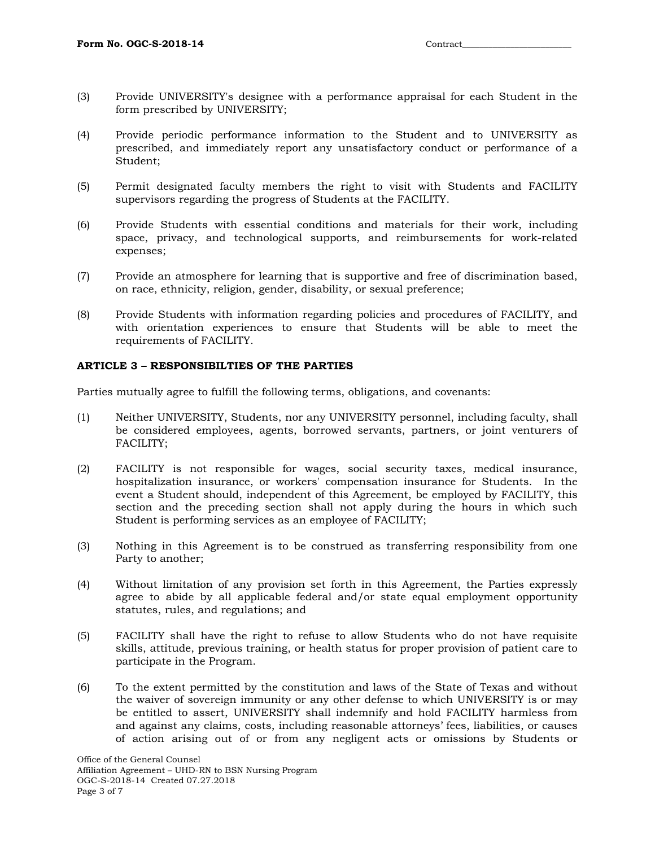- (3) Provide UNIVERSITY's designee with a performance appraisal for each Student in the form prescribed by UNIVERSITY;
- (4) Provide periodic performance information to the Student and to UNIVERSITY as prescribed, and immediately report any unsatisfactory conduct or performance of a Student;
- (5) Permit designated faculty members the right to visit with Students and FACILITY supervisors regarding the progress of Students at the FACILITY.
- (6) Provide Students with essential conditions and materials for their work, including space, privacy, and technological supports, and reimbursements for work-related expenses;
- (7) Provide an atmosphere for learning that is supportive and free of discrimination based, on race, ethnicity, religion, gender, disability, or sexual preference;
- (8) Provide Students with information regarding policies and procedures of FACILITY, and with orientation experiences to ensure that Students will be able to meet the requirements of FACILITY.

# **ARTICLE 3 – RESPONSIBILTIES OF THE PARTIES**

Parties mutually agree to fulfill the following terms, obligations, and covenants:

- (1) Neither UNIVERSITY, Students, nor any UNIVERSITY personnel, including faculty, shall be considered employees, agents, borrowed servants, partners, or joint venturers of FACILITY;
- (2) FACILITY is not responsible for wages, social security taxes, medical insurance, hospitalization insurance, or workers' compensation insurance for Students. In the event a Student should, independent of this Agreement, be employed by FACILITY, this section and the preceding section shall not apply during the hours in which such Student is performing services as an employee of FACILITY;
- (3) Nothing in this Agreement is to be construed as transferring responsibility from one Party to another;
- (4) Without limitation of any provision set forth in this Agreement, the Parties expressly agree to abide by all applicable federal and/or state equal employment opportunity statutes, rules, and regulations; and
- (5) FACILITY shall have the right to refuse to allow Students who do not have requisite skills, attitude, previous training, or health status for proper provision of patient care to participate in the Program.
- (6) To the extent permitted by the constitution and laws of the State of Texas and without the waiver of sovereign immunity or any other defense to which UNIVERSITY is or may be entitled to assert, UNIVERSITY shall indemnify and hold FACILITY harmless from and against any claims, costs, including reasonable attorneys' fees, liabilities, or causes of action arising out of or from any negligent acts or omissions by Students or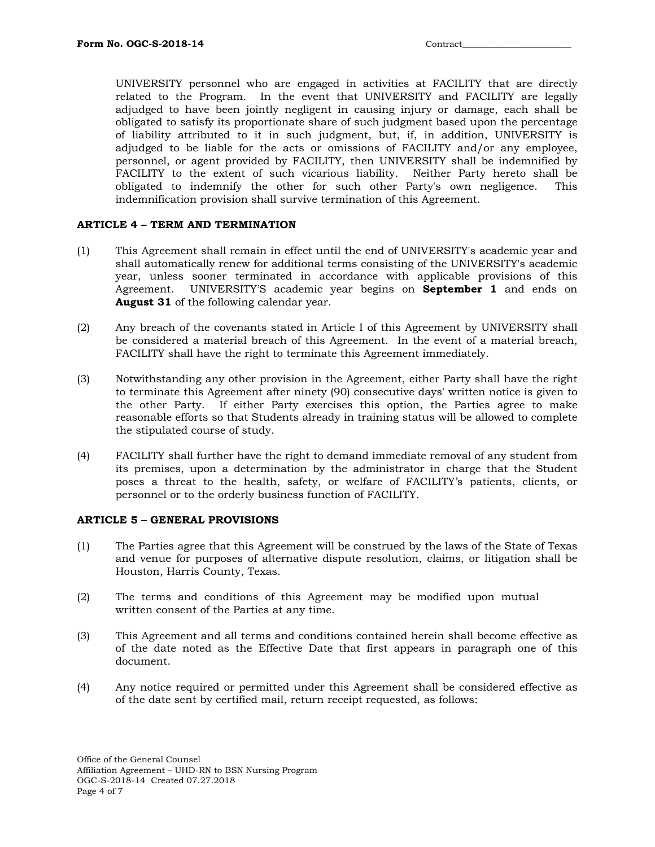UNIVERSITY personnel who are engaged in activities at FACILITY that are directly related to the Program. In the event that UNIVERSITY and FACILITY are legally adjudged to have been jointly negligent in causing injury or damage, each shall be obligated to satisfy its proportionate share of such judgment based upon the percentage of liability attributed to it in such judgment, but, if, in addition, UNIVERSITY is adjudged to be liable for the acts or omissions of FACILITY and/or any employee, personnel, or agent provided by FACILITY, then UNIVERSITY shall be indemnified by FACILITY to the extent of such vicarious liability. Neither Party hereto shall be obligated to indemnify the other for such other Party's own negligence. This indemnification provision shall survive termination of this Agreement.

# **ARTICLE 4 – TERM AND TERMINATION**

- (1) This Agreement shall remain in effect until the end of UNIVERSITY's academic year and shall automatically renew for additional terms consisting of the UNIVERSITY's academic year, unless sooner terminated in accordance with applicable provisions of this Agreement. UNIVERSITY'S academic year begins on **September 1** and ends on **August 31** of the following calendar year.
- (2) Any breach of the covenants stated in Article I of this Agreement by UNIVERSITY shall be considered a material breach of this Agreement. In the event of a material breach, FACILITY shall have the right to terminate this Agreement immediately.
- (3) Notwithstanding any other provision in the Agreement, either Party shall have the right to terminate this Agreement after ninety (90) consecutive days' written notice is given to the other Party. If either Party exercises this option, the Parties agree to make reasonable efforts so that Students already in training status will be allowed to complete the stipulated course of study.
- (4) FACILITY shall further have the right to demand immediate removal of any student from its premises, upon a determination by the administrator in charge that the Student poses a threat to the health, safety, or welfare of FACILITY's patients, clients, or personnel or to the orderly business function of FACILITY.

# **ARTICLE 5 – GENERAL PROVISIONS**

- (1) The Parties agree that this Agreement will be construed by the laws of the State of Texas and venue for purposes of alternative dispute resolution, claims, or litigation shall be Houston, Harris County, Texas.
- (2) The terms and conditions of this Agreement may be modified upon mutual written consent of the Parties at any time.
- (3) This Agreement and all terms and conditions contained herein shall become effective as of the date noted as the Effective Date that first appears in paragraph one of this document.
- (4) Any notice required or permitted under this Agreement shall be considered effective as of the date sent by certified mail, return receipt requested, as follows: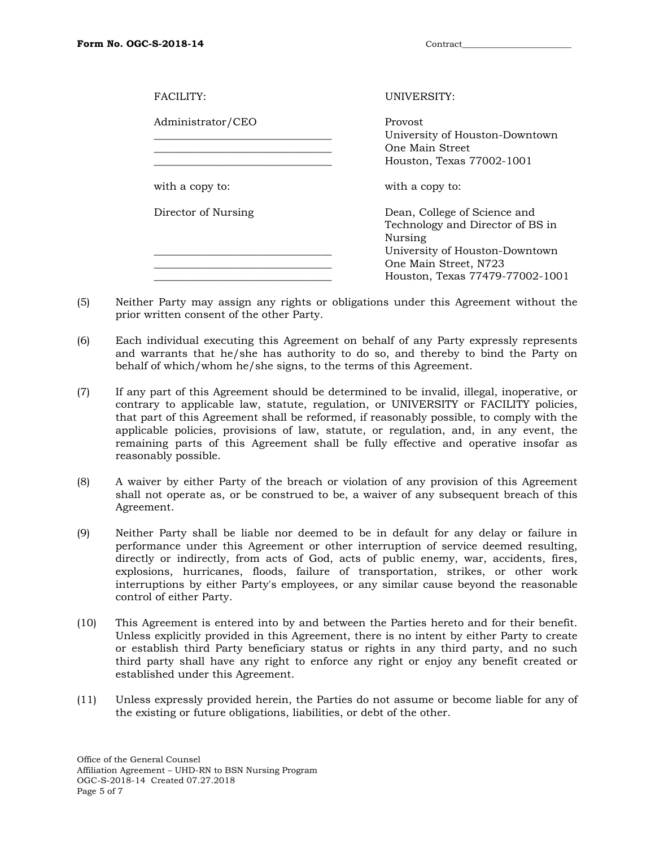| FACILITY:           | UNIVERSITY:<br>Provost<br>University of Houston-Downtown<br>One Main Street<br>Houston, Texas 77002-1001                                                                  |  |
|---------------------|---------------------------------------------------------------------------------------------------------------------------------------------------------------------------|--|
| Administrator/CEO   |                                                                                                                                                                           |  |
| with a copy to:     | with a copy to:                                                                                                                                                           |  |
| Director of Nursing | Dean, College of Science and<br>Technology and Director of BS in<br>Nursing<br>University of Houston-Downtown<br>One Main Street, N723<br>Houston, Texas 77479-77002-1001 |  |

- (5) Neither Party may assign any rights or obligations under this Agreement without the prior written consent of the other Party.
- (6) Each individual executing this Agreement on behalf of any Party expressly represents and warrants that he/she has authority to do so, and thereby to bind the Party on behalf of which/whom he/she signs, to the terms of this Agreement.
- (7) If any part of this Agreement should be determined to be invalid, illegal, inoperative, or contrary to applicable law, statute, regulation, or UNIVERSITY or FACILITY policies, that part of this Agreement shall be reformed, if reasonably possible, to comply with the applicable policies, provisions of law, statute, or regulation, and, in any event, the remaining parts of this Agreement shall be fully effective and operative insofar as reasonably possible.
- (8) A waiver by either Party of the breach or violation of any provision of this Agreement shall not operate as, or be construed to be, a waiver of any subsequent breach of this Agreement.
- (9) Neither Party shall be liable nor deemed to be in default for any delay or failure in performance under this Agreement or other interruption of service deemed resulting, directly or indirectly, from acts of God, acts of public enemy, war, accidents, fires, explosions, hurricanes, floods, failure of transportation, strikes, or other work interruptions by either Party's employees, or any similar cause beyond the reasonable control of either Party.
- (10) This Agreement is entered into by and between the Parties hereto and for their benefit. Unless explicitly provided in this Agreement, there is no intent by either Party to create or establish third Party beneficiary status or rights in any third party, and no such third party shall have any right to enforce any right or enjoy any benefit created or established under this Agreement.
- (11) Unless expressly provided herein, the Parties do not assume or become liable for any of the existing or future obligations, liabilities, or debt of the other.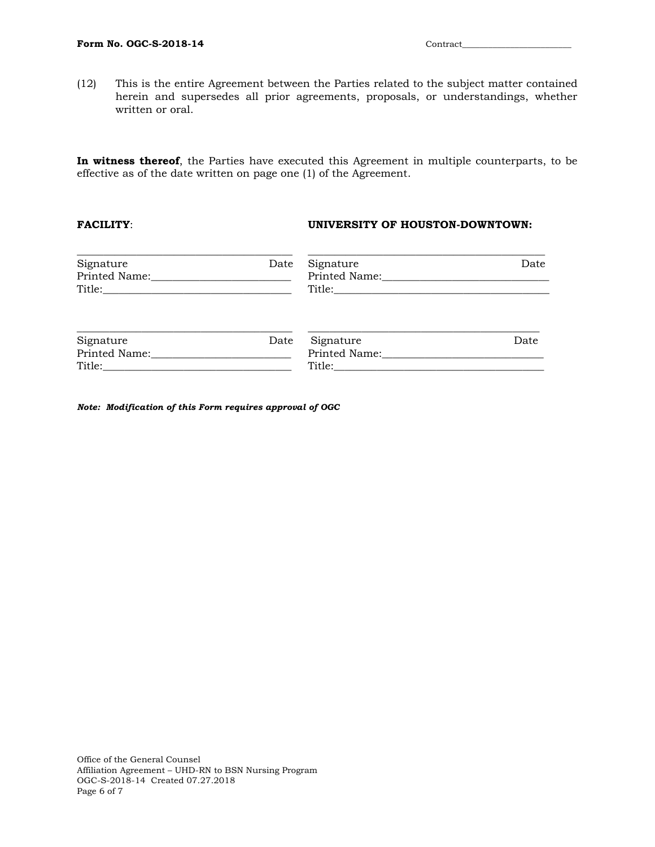(12) This is the entire Agreement between the Parties related to the subject matter contained herein and supersedes all prior agreements, proposals, or understandings, whether written or oral.

**In witness thereof**, the Parties have executed this Agreement in multiple counterparts, to be effective as of the date written on page one (1) of the Agreement.

# **FACILITY**: **UNIVERSITY OF HOUSTON-DOWNTOWN:**

| Signature | Date | Signature | Date |
|-----------|------|-----------|------|
| Signature | Date | Signature | Date |

*Note: Modification of this Form requires approval of OGC*